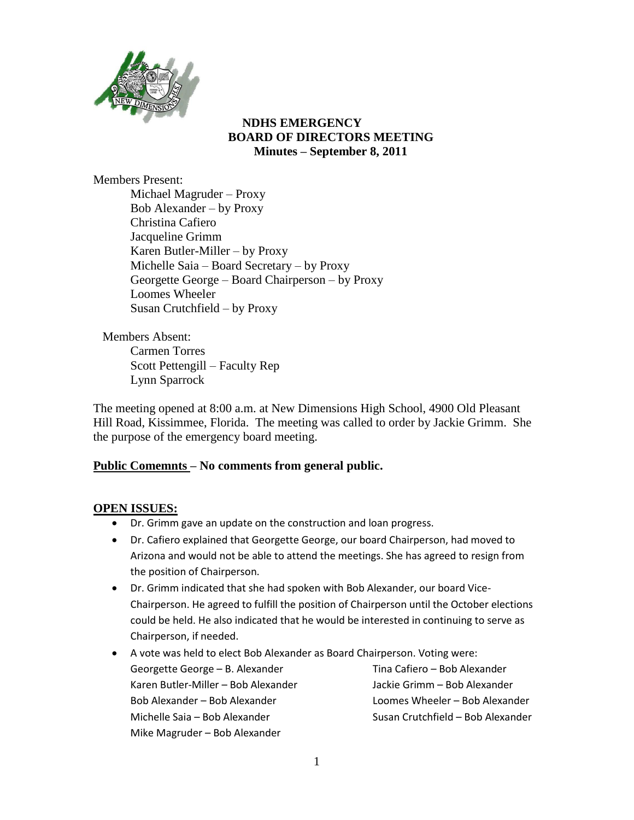

## **NDHS EMERGENCY BOARD OF DIRECTORS MEETING Minutes – September 8, 2011**

Members Present: Michael Magruder – Proxy Bob Alexander – by Proxy Christina Cafiero Jacqueline Grimm Karen Butler-Miller – by Proxy Michelle Saia – Board Secretary – by Proxy Georgette George – Board Chairperson – by Proxy Loomes Wheeler Susan Crutchfield – by Proxy

Members Absent: Carmen Torres Scott Pettengill – Faculty Rep Lynn Sparrock

The meeting opened at 8:00 a.m. at New Dimensions High School, 4900 Old Pleasant Hill Road, Kissimmee, Florida. The meeting was called to order by Jackie Grimm. She the purpose of the emergency board meeting.

## **Public Comemnts – No comments from general public.**

## **OPEN ISSUES:**

- Dr. Grimm gave an update on the construction and loan progress.
- Dr. Cafiero explained that Georgette George, our board Chairperson, had moved to Arizona and would not be able to attend the meetings. She has agreed to resign from the position of Chairperson.
- Dr. Grimm indicated that she had spoken with Bob Alexander, our board Vice-Chairperson. He agreed to fulfill the position of Chairperson until the October elections could be held. He also indicated that he would be interested in continuing to serve as Chairperson, if needed.
- A vote was held to elect Bob Alexander as Board Chairperson. Voting were: Georgette George – B. Alexander Karen Butler-Miller – Bob Alexander Bob Alexander – Bob Alexander Michelle Saia – Bob Alexander Mike Magruder – Bob Alexander Tina Cafiero – Bob Alexander Jackie Grimm – Bob Alexander Loomes Wheeler – Bob Alexander Susan Crutchfield – Bob Alexander